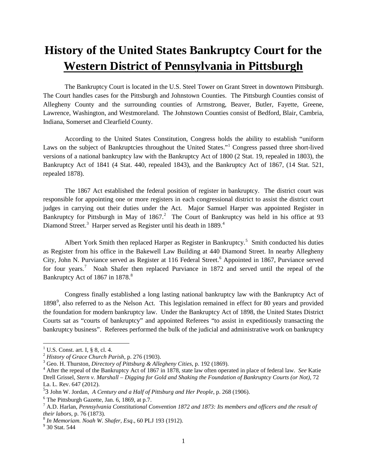## **History of the United States Bankruptcy Court for the Western District of Pennsylvania in Pittsburgh**

The Bankruptcy Court is located in the U.S. Steel Tower on Grant Street in downtown Pittsburgh. The Court handles cases for the Pittsburgh and Johnstown Counties. The Pittsburgh Counties consist of Allegheny County and the surrounding counties of Armstrong, Beaver, Butler, Fayette, Greene, Lawrence, Washington, and Westmoreland. The Johnstown Counties consist of Bedford, Blair, Cambria, Indiana, Somerset and Clearfield County.

 According to the United States Constitution, Congress holds the ability to establish "uniform Laws on the subject of Bankruptcies throughout the United States."<sup>[1](#page-0-0)</sup> Congress passed three short-lived versions of a national bankruptcy law with the Bankruptcy Act of 1800 (2 Stat. 19, repealed in 1803), the Bankruptcy Act of 1841 (4 Stat. 440, repealed 1843), and the Bankruptcy Act of 1867, (14 Stat. 521, repealed 1878).

The 1867 Act established the federal position of register in bankruptcy. The district court was responsible for appointing one or more registers in each congressional district to assist the district court judges in carrying out their duties under the Act. Major Samuel Harper was appointed Register in Bankruptcy for Pittsburgh in May of 1867.<sup>[2](#page-0-1)</sup> The Court of Bankruptcy was held in his office at 93 Diamond Street.<sup>[3](#page-0-2)</sup> Harper served as Register until his death in 1889.<sup>[4](#page-0-3)</sup>

Albert York Smith then replaced Harper as Register in Bankruptcy.<sup>[5](#page-0-4)</sup> Smith conducted his duties as Register from his office in the Bakewell Law Building at 440 Diamond Street. In nearby Allegheny City, John N. Purviance served as Register at 11[6](#page-0-5) Federal Street.<sup>6</sup> Appointed in 1867, Purviance served for four years.<sup>[7](#page-0-6)</sup> Noah Shafer then replaced Purviance in 1872 and served until the repeal of the Bankruptcy Act of 1[8](#page-0-7)67 in 1878.<sup>8</sup>

Congress finally established a long lasting national bankruptcy law with the Bankruptcy Act of 18[9](#page-0-8)8<sup>9</sup>, also referred to as the Nelson Act. This legislation remained in effect for 80 years and provided the foundation for modern bankruptcy law. Under the Bankruptcy Act of 1898, the United States District Courts sat as "courts of bankruptcy" and appointed Referees "to assist in expeditiously transacting the bankruptcy business". Referees performed the bulk of the judicial and administrative work on bankruptcy

 $\overline{a}$ 

 $<sup>1</sup>$  U.S. Const. art. I, § 8, cl. 4.</sup>

<span id="page-0-3"></span>

<span id="page-0-2"></span><span id="page-0-1"></span><span id="page-0-0"></span><sup>&</sup>lt;sup>2</sup> History of Grace Church Parish, p. 276 (1903).<br><sup>3</sup> Geo. H. Thurston, *Directory of Pittsburg & Allegheny Cities*, p. 192 (1869).<br><sup>4</sup> After the repeal of the Bankruptcy Act of 1867 in 1878, state law often operated in Drell Grissel, *Stern v. Marshall – Digging for Gold and Shaking the Foundation of Bankruptcy Courts (or Not)*, 72 La. L. Rev. 647 (2012).

<span id="page-0-4"></span><sup>&</sup>lt;sup>5</sup>3 John W. Jordan, *A Century and a Half of Pittsburg and Her People*, p. 268 (1906). <sup>6</sup> The Pittsburgh Gazette, Jan. 6, 1869, at p.7.

<span id="page-0-5"></span>

<span id="page-0-6"></span><sup>7</sup> A.D. Harlan, *Pennsylvania Constitutional Convention 1872 and 1873: Its members and officers and the result of their labors*, p. 76 (1873).<br><sup>8</sup> *In Memoriam. Noah W. Shafer, Esq.*, 60 PLJ 193 (1912).<br><sup>9</sup> 30 Stat. 544

<span id="page-0-7"></span>

<span id="page-0-8"></span>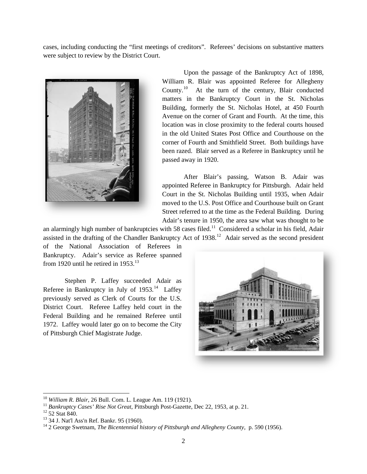cases, including conducting the "first meetings of creditors". Referees' decisions on substantive matters were subject to review by the District Court.



 Upon the passage of the Bankruptcy Act of 1898, William R. Blair was appointed Referee for Allegheny County.<sup>[10](#page-1-0)</sup> At the turn of the century, Blair conducted matters in the Bankruptcy Court in the St. Nicholas Building, formerly the St. Nicholas Hotel, at 450 Fourth Avenue on the corner of Grant and Fourth. At the time, this location was in close proximity to the federal courts housed in the old United States Post Office and Courthouse on the corner of Fourth and Smithfield Street. Both buildings have been razed. Blair served as a Referee in Bankruptcy until he passed away in 1920.

After Blair's passing, Watson B. Adair was appointed Referee in Bankruptcy for Pittsburgh. Adair held Court in the St. Nicholas Building until 1935, when Adair moved to the U.S. Post Office and Courthouse built on Grant Street referred to at the time as the Federal Building. During Adair's tenure in 1950, the area saw what was thought to be

an alarmingly high number of bankruptcies with 58 cases filed.<sup>11</sup> Considered a scholar in his field, Adair assisted in the drafting of the Chandler Bankruptcy Act of 1938.<sup>12</sup> Adair served as the second president

of the National Association of Referees in Bankruptcy. Adair's service as Referee spanned from 1920 until he retired in  $1953.<sup>13</sup>$  $1953.<sup>13</sup>$  $1953.<sup>13</sup>$ 

Stephen P. Laffey succeeded Adair as Referee in Bankruptcy in July of 1953.<sup>[14](#page-1-4)</sup> Laffey previously served as Clerk of Courts for the U.S. District Court. Referee Laffey held court in the Federal Building and he remained Referee until 1972. Laffey would later go on to become the City of Pittsburgh Chief Magistrate Judge.



<span id="page-1-0"></span><sup>&</sup>lt;sup>10</sup> William R. Blair, 26 Bull. Com. L. League Am. 119 (1921).

<span id="page-1-2"></span>

<span id="page-1-4"></span><span id="page-1-3"></span>

<span id="page-1-1"></span><sup>&</sup>lt;sup>11</sup> Bankruptcy Cases' Rise Not Great, Pittsburgh Post-Gazette, Dec 22, 1953, at p. 21.<br><sup>12</sup> 52 Stat 840.<br><sup>13</sup> 34 J. Nat'l Ass'n Ref. Bankr. 95 (1960).<br><sup>14</sup> 2 George Swetnam, *The Bicentennial history of Pittsburgh and Al*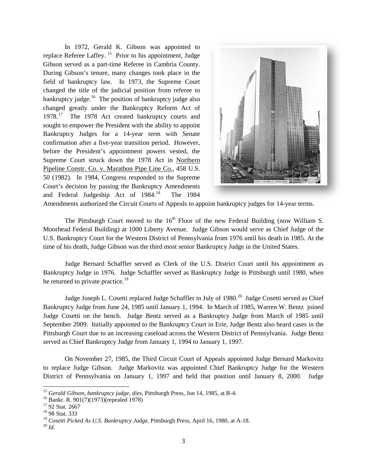In 1972, Gerald K. Gibson was appointed to replace Referee Laffey.<sup>15</sup> Prior to his appointment, Judge Gibson served as a part-time Referee in Cambria County. During Gibson's tenure, many changes took place in the field of bankruptcy law. In 1973, the Supreme Court changed the title of the judicial position from referee to bankruptcy judge. $16$  The position of bankruptcy judge also changed greatly under the Bankruptcy Reform Act of 1978.<sup>[17](#page-2-2)</sup> The 1978 Act created bankruptcy courts and sought to empower the President with the ability to appoint Bankruptcy Judges for a 14-year term with Senate confirmation after a five-year transition period. However, before the President's appointment powers vested, the Supreme Court struck down the 1978 Act in Northern Pipeline Constr. Co. v. Marathon Pipe Line Co., 458 U.S. 50 (1982). In 1984, Congress responded to the Supreme Court's decision by passing the Bankruptcy Amendments and Federal Judgeship Act of 1984.<sup>[18](#page-2-3)</sup> The 1984



Amendments authorized the Circuit Courts of Appeals to appoint bankruptcy judges for 14-year terms.

The Pittsburgh Court moved to the 16<sup>th</sup> Floor of the new Federal Building (now William S. Moorhead Federal Building) at 1000 Liberty Avenue. Judge Gibson would serve as Chief Judge of the U.S. Bankruptcy Court for the Western District of Pennsylvania from 1976 until his death in 1985. At the time of his death, Judge Gibson was the third most senior Bankruptcy Judge in the United States.

Judge Bernard Schaffler served as Clerk of the U.S. District Court until his appointment as Bankruptcy Judge in 1976. Judge Schaffler served as Bankruptcy Judge in Pittsburgh until 1980, when he returned to private practice.<sup>[19](#page-2-4)</sup>

Judge Joseph L. Cosetti replaced Judge Schaffler in July of 1980.<sup>[20](#page-2-5)</sup> Judge Cosetti served as Chief Bankruptcy Judge from June 24, 1985 until January 1, 1994. In March of 1985, Warren W. Bentz joined Judge Cosetti on the bench. Judge Bentz served as a Bankruptcy Judge from March of 1985 until September 2009. Initially appointed to the Bankruptcy Court in Erie, Judge Bentz also heard cases in the Pittsburgh Court due to an increasing caseload across the Western District of Pennsylvania. Judge Bentz served as Chief Bankruptcy Judge from January 1, 1994 to January 1, 1997.

On November 27, 1985, the Third Circuit Court of Appeals appointed Judge Bernard Markovitz to replace Judge Gibson. Judge Markovitz was appointed Chief Bankruptcy Judge for the Western District of Pennsylvania on January 1, 1997 and held that position until January 8, 2000. Judge

 $\overline{a}$ 

<span id="page-2-0"></span><sup>&</sup>lt;sup>15</sup> *Gerald Gibson, bankruptcy judge, dies*, Pittsburgh Press, Jun 14, 1985, at B-4.<br><sup>16</sup> Bankr. R. 901(7)(1973)(repealed 1978)<br><sup>17</sup> 92 Stat. 2667<br><sup>18</sup> 98 Stat. 333

<span id="page-2-1"></span>

<span id="page-2-2"></span>

<span id="page-2-5"></span><span id="page-2-4"></span><span id="page-2-3"></span><sup>19</sup> *Cosetti Picked As U.S. Bankruptcy Judge*, Pittsburgh Press, April 16, 1980, at A-18. <sup>20</sup> *Id*.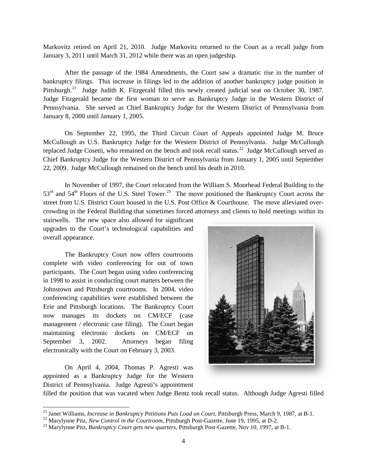Markovitz retired on April 21, 2010. Judge Markovitz returned to the Court as a recall judge from January 3, 2011 until March 31, 2012 while there was an open judgeship.

After the passage of the 1984 Amendments, the Court saw a dramatic rise in the number of bankruptcy filings. This increase in filings led to the addition of another bankruptcy judge position in Pittsburgh.<sup>[21](#page-3-0)</sup> Judge Judith K. Fitzgerald filled this newly created judicial seat on October 30, 1987. Judge Fitzgerald became the first woman to serve as Bankruptcy Judge in the Western District of Pennsylvania. She served as Chief Bankruptcy Judge for the Western District of Pennsylvania from January 8, 2000 until January 1, 2005.

On September 22, 1995, the Third Circuit Court of Appeals appointed Judge M. Bruce McCullough as U.S. Bankruptcy Judge for the Western District of Pennsylvania. Judge McCullough replaced Judge Cosetti, who remained on the bench and took recall status.<sup>[22](#page-3-1)</sup> Judge McCullough served as Chief Bankruptcy Judge for the Western District of Pennsylvania from January 1, 2005 until September 22, 2009. Judge McCullough remained on the bench until his death in 2010.

In November of 1997, the Court relocated from the William S. Moorhead Federal Building to the  $53<sup>rd</sup>$  and  $54<sup>th</sup>$  Floors of the U.S. Steel Tower.<sup>[23](#page-3-2)</sup> The move positioned the Bankruptcy Court across the street from U.S. District Court housed in the U.S. Post Office & Courthouse. The move alleviated overcrowding in the Federal Building that sometimes forced attorneys and clients to hold meetings within its

stairwells. The new space also allowed for significant upgrades to the Court's technological capabilities and overall appearance.

The Bankruptcy Court now offers courtrooms complete with video conferencing for out of town participants. The Court began using video conferencing in 1998 to assist in conducting court matters between the Johnstown and Pittsburgh courtrooms. In 2004, video conferencing capabilities were established between the Erie and Pittsburgh locations. The Bankruptcy Court now manages its dockets on CM/ECF (case management / electronic case filing). The Court began maintaining electronic dockets on CM/ECF on September 3, 2002. Attorneys began filing electronically with the Court on February 3, 2003.

On April 4, 2004, Thomas P. Agresti was appointed as a Bankruptcy Judge for the Western District of Pennsylvania. Judge Agresti's appointment



filled the position that was vacated when Judge Bentz took recall status. Although Judge Agresti filled

<span id="page-3-0"></span><sup>&</sup>lt;sup>21</sup> Janet Williams, *Increase in Bankruptcy Petitions Puts Load on Court*, Pittsburgh Press, March 9, 1987, at B-1.

<span id="page-3-2"></span><span id="page-3-1"></span><sup>&</sup>lt;sup>22</sup> Marylynne Pitz, *New Control in the Courtroom*, Pittsburgh Post-Gazette, June 19, 1995, at D-2.<br><sup>23</sup> Marylynne Pitz, *Bankruptcy Court gets new quarters*, Pittsburgh Post-Gazette, Nov 10, 1997, at B-1.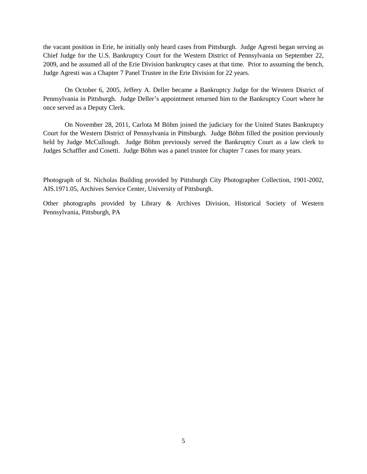the vacant position in Erie, he initially only heard cases from Pittsburgh. Judge Agresti began serving as Chief Judge for the U.S. Bankruptcy Court for the Western District of Pennsylvania on September 22, 2009, and he assumed all of the Erie Division bankruptcy cases at that time. Prior to assuming the bench, Judge Agresti was a Chapter 7 Panel Trustee in the Erie Division for 22 years.

On October 6, 2005, Jeffery A. Deller became a Bankruptcy Judge for the Western District of Pennsylvania in Pittsburgh. Judge Deller's appointment returned him to the Bankruptcy Court where he once served as a Deputy Clerk.

On November 28, 2011, Carlota M Böhm joined the judiciary for the United States Bankruptcy Court for the Western District of Pennsylvania in Pittsburgh. Judge Böhm filled the position previously held by Judge McCullough. Judge Böhm previously served the Bankruptcy Court as a law clerk to Judges Schaffler and Cosetti. Judge Böhm was a panel trustee for chapter 7 cases for many years.

Photograph of St. Nicholas Building provided by Pittsburgh City Photographer Collection, 1901-2002, AIS.1971.05, Archives Service Center, University of Pittsburgh.

Other photographs provided by Library & Archives Division, Historical Society of Western Pennsylvania, Pittsburgh, PA